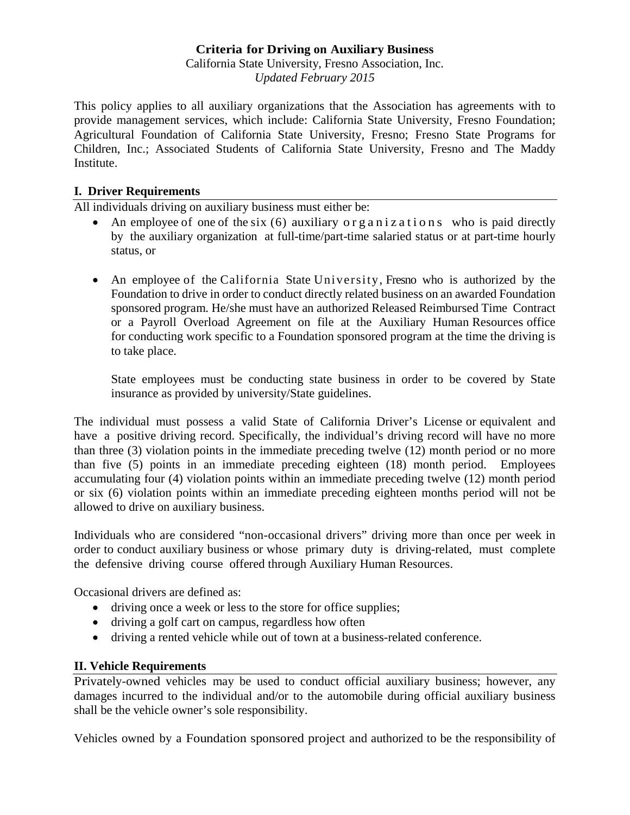### **Criteria for Driving on Auxiliary Business**

California State University, Fresno Association, Inc. *Updated February 2015* 

This policy applies to all auxiliary organizations that the Association has agreements with to provide management services, which include: California State University, Fresno Foundation; Agricultural Foundation of California State University, Fresno; Fresno State Programs for Children, Inc.; Associated Students of California State University, Fresno and The Maddy **Institute** 

#### **I. Driver Requirements**

All individuals driving on auxiliary business must either be:

- An employee of one of the six  $(6)$  auxiliary or g a n i z a t i on s who is paid directly by the auxiliary organization at full-time/part-time salaried status or at part-time hourly status, or
- An employee of the California State University, Fresno who is authorized by the Foundation to drive in order to conduct directly related business on an awarded Foundation sponsored program. He/she must have an authorized Released Reimbursed Time Contract or a Payroll Overload Agreement on file at the Auxiliary Human Resources office for conducting work specific to a Foundation sponsored program at the time the driving is to take place.

State employees must be conducting state business in order to be covered by State insurance as provided by university/State guidelines.

The individual must possess a valid State of California Driver's License or equivalent and have a positive driving record. Specifically, the individual's driving record will have no more than three (3) violation points in the immediate preceding twelve (12) month period or no more than five (5) points in an immediate preceding eighteen (18) month period. Employees accumulating four (4) violation points within an immediate preceding twelve (12) month period or six (6) violation points within an immediate preceding eighteen months period will not be allowed to drive on auxiliary business.

Individuals who are considered "non-occasional drivers" driving more than once per week in order to conduct auxiliary business or whose primary duty is driving-related, must complete the defensive driving course offered through Auxiliary Human Resources.

Occasional drivers are defined as:

- driving once a week or less to the store for office supplies;
- driving a golf cart on campus, regardless how often
- driving a rented vehicle while out of town at a business-related conference.

#### **II. Vehicle Requirements**

Privately-owned vehicles may be used to conduct official auxiliary business; however, any damages incurred to the individual and/or to the automobile during official auxiliary business shall be the vehicle owner's sole responsibility.

Vehicles owned by a Foundation sponsored project and authorized to be the responsibility of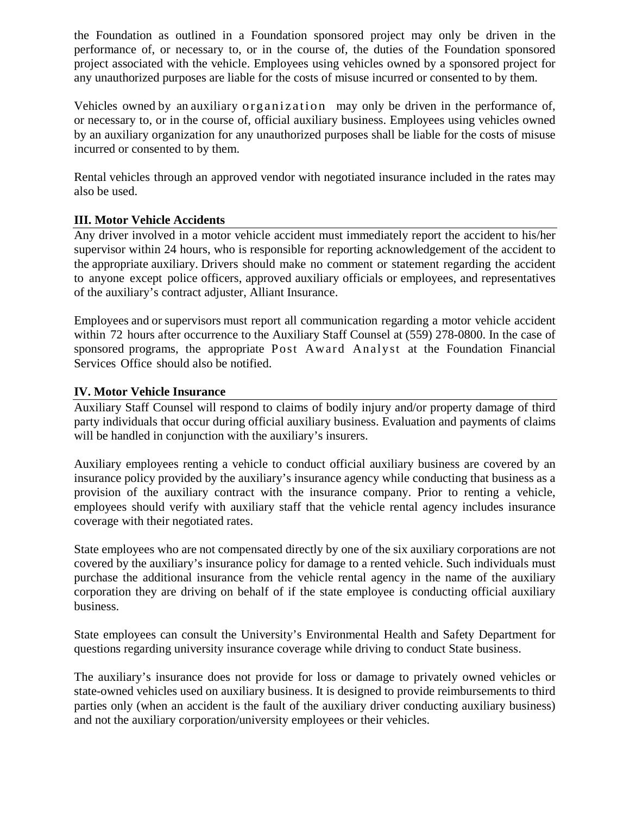the Foundation as outlined in a Foundation sponsored project may only be driven in the performance of, or necessary to, or in the course of, the duties of the Foundation sponsored project associated with the vehicle. Employees using vehicles owned by a sponsored project for any unauthorized purposes are liable for the costs of misuse incurred or consented to by them.

Vehicles owned by an auxiliary organization may only be driven in the performance of, or necessary to, or in the course of, official auxiliary business. Employees using vehicles owned by an auxiliary organization for any unauthorized purposes shall be liable for the costs of misuse incurred or consented to by them.

Rental vehicles through an approved vendor with negotiated insurance included in the rates may also be used.

### **III. Motor Vehicle Accidents**

Any driver involved in a motor vehicle accident must immediately report the accident to his/her supervisor within 24 hours, who is responsible for reporting acknowledgement of the accident to the appropriate auxiliary. Drivers should make no comment or statement regarding the accident to anyone except police officers, approved auxiliary officials or employees, and representatives of the auxiliary's contract adjuster, Alliant Insurance.

Employees and or supervisors must report all communication regarding a motor vehicle accident within 72 hours after occurrence to the Auxiliary Staff Counsel at (559) 278-0800. In the case of sponsored programs, the appropriate Post Award Analyst at the Foundation Financial Services Office should also be notified.

### **IV. Motor Vehicle Insurance**

Auxiliary Staff Counsel will respond to claims of bodily injury and/or property damage of third party individuals that occur during official auxiliary business. Evaluation and payments of claims will be handled in conjunction with the auxiliary's insurers.

Auxiliary employees renting a vehicle to conduct official auxiliary business are covered by an insurance policy provided by the auxiliary's insurance agency while conducting that business as a provision of the auxiliary contract with the insurance company. Prior to renting a vehicle, employees should verify with auxiliary staff that the vehicle rental agency includes insurance coverage with their negotiated rates.

State employees who are not compensated directly by one of the six auxiliary corporations are not covered by the auxiliary's insurance policy for damage to a rented vehicle. Such individuals must purchase the additional insurance from the vehicle rental agency in the name of the auxiliary corporation they are driving on behalf of if the state employee is conducting official auxiliary business.

State employees can consult the University's Environmental Health and Safety Department for questions regarding university insurance coverage while driving to conduct State business.

The auxiliary's insurance does not provide for loss or damage to privately owned vehicles or state-owned vehicles used on auxiliary business. It is designed to provide reimbursements to third parties only (when an accident is the fault of the auxiliary driver conducting auxiliary business) and not the auxiliary corporation/university employees or their vehicles.